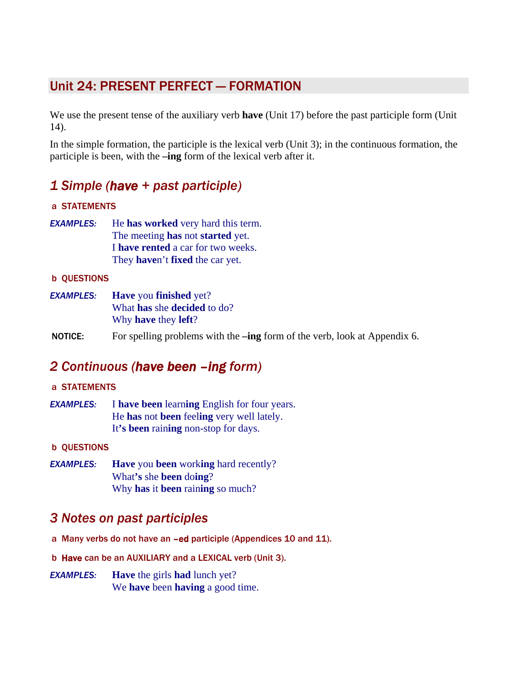# Unit 24: PRESENT PERFECT — FORMATION

We use the present tense of the auxiliary verb **have** (Unit 17) before the past participle form (Unit 14).

In the simple formation, the participle is the lexical verb (Unit 3); in the continuous formation, the participle is been, with the **–ing** form of the lexical verb after it.

# *1 Simple (have + past participle)*

### a STATEMENTS

*EXAMPLES:* He **has worked** very hard this term. The meeting **has** not **started** yet. I **have rented** a car for two weeks. They **have**n't **fixed** the car yet.

### b QUESTIONS

*EXAMPLES:* **Have** you **finished** yet? What **has** she **decided** to do? Why **have** they **left**?

NOTICE: For spelling problems with the **–ing** form of the verb, look at Appendix 6.

## *2 Continuous (have been –ing form)*

### a STATEMENTS

- *EXAMPLES:* I **have been** learn**ing** English for four years. He **has** not **been** feel**ing** very well lately. It**'s been** rain**ing** non-stop for days.
- b QUESTIONS
- *EXAMPLES:* **Have** you **been** work**ing** hard recently? What**'s** she **been** do**ing**? Why **has** it **been** rain**ing** so much?

## *3 Notes on past participles*

- a Many verbs do not have an –ed participle (Appendices 10 and 11).
- b Have can be an AUXILIARY and a LEXICAL verb (Unit 3).
- *EXAMPLES:* **Have** the girls **had** lunch yet? We **have** been **having** a good time.